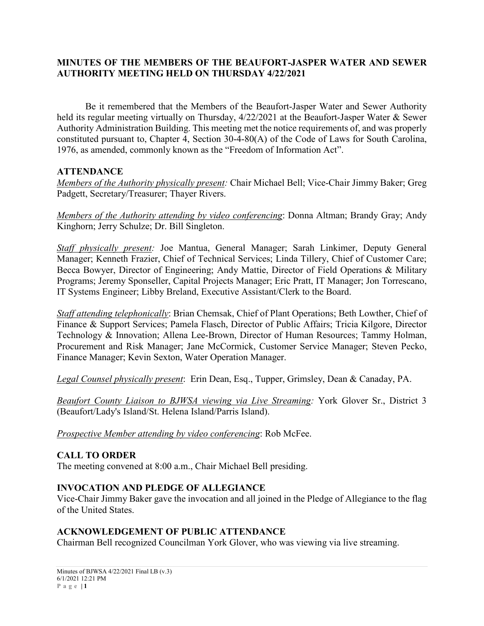### **MINUTES OF THE MEMBERS OF THE BEAUFORT-JASPER WATER AND SEWER AUTHORITY MEETING HELD ON THURSDAY 4/22/2021**

Be it remembered that the Members of the Beaufort-Jasper Water and Sewer Authority held its regular meeting virtually on Thursday, 4/22/2021 at the Beaufort-Jasper Water & Sewer Authority Administration Building. This meeting met the notice requirements of, and was properly constituted pursuant to, Chapter 4, Section 30-4-80(A) of the Code of Laws for South Carolina, 1976, as amended, commonly known as the "Freedom of Information Act".

### **ATTENDANCE**

*Members of the Authority physically present:* Chair Michael Bell; Vice-Chair Jimmy Baker; Greg Padgett, Secretary/Treasurer; Thayer Rivers.

*Members of the Authority attending by video conferencing*: Donna Altman; Brandy Gray; Andy Kinghorn; Jerry Schulze; Dr. Bill Singleton.

*Staff physically present:* Joe Mantua, General Manager; Sarah Linkimer, Deputy General Manager; Kenneth Frazier, Chief of Technical Services; Linda Tillery, Chief of Customer Care; Becca Bowyer, Director of Engineering; Andy Mattie, Director of Field Operations & Military Programs; Jeremy Sponseller, Capital Projects Manager; Eric Pratt, IT Manager; Jon Torrescano, IT Systems Engineer; Libby Breland, Executive Assistant/Clerk to the Board.

*Staff attending telephonically*: Brian Chemsak, Chief of Plant Operations; Beth Lowther, Chief of Finance & Support Services; Pamela Flasch, Director of Public Affairs; Tricia Kilgore, Director Technology & Innovation; Allena Lee-Brown, Director of Human Resources; Tammy Holman, Procurement and Risk Manager; Jane McCormick, Customer Service Manager; Steven Pecko, Finance Manager; Kevin Sexton, Water Operation Manager.

*Legal Counsel physically present*: Erin Dean, Esq., Tupper, Grimsley, Dean & Canaday, PA.

*Beaufort County Liaison to BJWSA viewing via Live Streaming:* York Glover Sr., District 3 (Beaufort/Lady's Island/St. Helena Island/Parris Island).

*Prospective Member attending by video conferencing*: Rob McFee.

### **CALL TO ORDER**

The meeting convened at 8:00 a.m., Chair Michael Bell presiding.

### **INVOCATION AND PLEDGE OF ALLEGIANCE**

Vice-Chair Jimmy Baker gave the invocation and all joined in the Pledge of Allegiance to the flag of the United States.

### **ACKNOWLEDGEMENT OF PUBLIC ATTENDANCE**

Chairman Bell recognized Councilman York Glover, who was viewing via live streaming.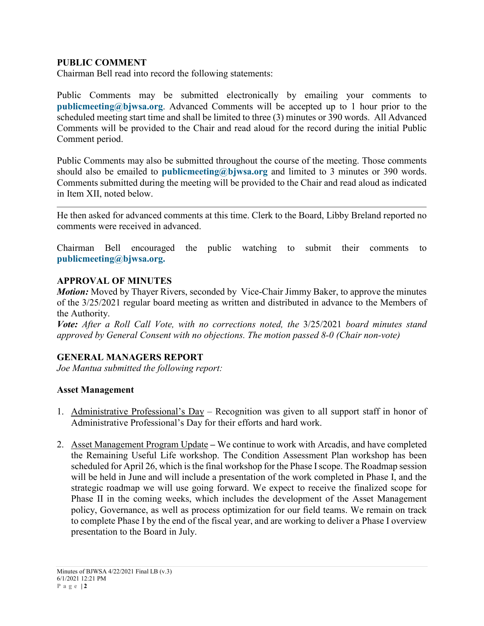### **PUBLIC COMMENT**

Chairman Bell read into record the following statements:

Public Comments may be submitted electronically by emailing your comments to **[publicmeeting@bjwsa.org](mailto:publicmeeting@bjwsa.org)**. Advanced Comments will be accepted up to 1 hour prior to the scheduled meeting start time and shall be limited to three (3) minutes or 390 words. All Advanced Comments will be provided to the Chair and read aloud for the record during the initial Public Comment period.

Public Comments may also be submitted throughout the course of the meeting. Those comments should also be emailed to **[publicmeeting@bjwsa.org](mailto:publicmeeting@bjwsa.org)** and limited to 3 minutes or 390 words. Comments submitted during the meeting will be provided to the Chair and read aloud as indicated in Item XII, noted below.

He then asked for advanced comments at this time. Clerk to the Board, Libby Breland reported no comments were received in advanced.

Chairman Bell encouraged the public watching to submit their comments to **[publicmeeting@bjwsa.org.](mailto:publicmeeting@bjwsa.org)**

#### **APPROVAL OF MINUTES**

*Motion:* Moved by Thayer Rivers, seconded by Vice-Chair Jimmy Baker, to approve the minutes of the 3/25/2021 regular board meeting as written and distributed in advance to the Members of the Authority.

*Vote: After a Roll Call Vote, with no corrections noted, the* 3/25/2021 *board minutes stand approved by General Consent with no objections. The motion passed 8-0 (Chair non-vote)*

### **GENERAL MANAGERS REPORT**

*Joe Mantua submitted the following report:*

### **Asset Management**

- 1. Administrative Professional's Day Recognition was given to all support staff in honor of Administrative Professional's Day for their efforts and hard work.
- 2. Asset Management Program Update **–** We continue to work with Arcadis, and have completed the Remaining Useful Life workshop. The Condition Assessment Plan workshop has been scheduled for April 26, which is the final workshop for the Phase I scope. The Roadmap session will be held in June and will include a presentation of the work completed in Phase I, and the strategic roadmap we will use going forward. We expect to receive the finalized scope for Phase II in the coming weeks, which includes the development of the Asset Management policy, Governance, as well as process optimization for our field teams. We remain on track to complete Phase I by the end of the fiscal year, and are working to deliver a Phase I overview presentation to the Board in July.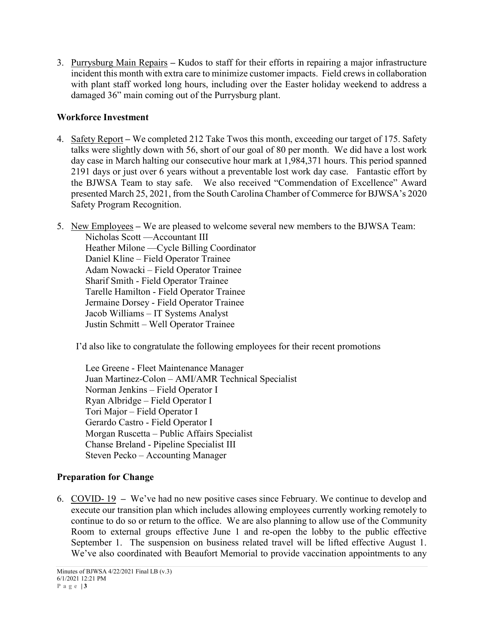3. Purrysburg Main Repairs **–** Kudos to staff for their efforts in repairing a major infrastructure incident this month with extra care to minimize customer impacts. Field crews in collaboration with plant staff worked long hours, including over the Easter holiday weekend to address a damaged 36" main coming out of the Purrysburg plant.

# **Workforce Investment**

- 4. Safety Report **–** We completed 212 Take Twos this month, exceeding our target of 175. Safety talks were slightly down with 56, short of our goal of 80 per month. We did have a lost work day case in March halting our consecutive hour mark at 1,984,371 hours. This period spanned 2191 days or just over 6 years without a preventable lost work day case. Fantastic effort by the BJWSA Team to stay safe. We also received "Commendation of Excellence" Award presented March 25, 2021, from the South Carolina Chamber of Commerce for BJWSA's 2020 Safety Program Recognition.
- 5. New Employees **–** We are pleased to welcome several new members to the BJWSA Team: Nicholas Scott —Accountant III Heather Milone —Cycle Billing Coordinator Daniel Kline – Field Operator Trainee Adam Nowacki – Field Operator Trainee Sharif Smith - Field Operator Trainee Tarelle Hamilton - Field Operator Trainee Jermaine Dorsey - Field Operator Trainee Jacob Williams – IT Systems Analyst Justin Schmitt – Well Operator Trainee

I'd also like to congratulate the following employees for their recent promotions

Lee Greene - Fleet Maintenance Manager Juan Martinez-Colon – AMI/AMR Technical Specialist Norman Jenkins – Field Operator I Ryan Albridge – Field Operator I Tori Major – Field Operator I Gerardo Castro - Field Operator I Morgan Ruscetta – Public Affairs Specialist Chanse Breland - Pipeline Specialist III Steven Pecko – Accounting Manager

# **Preparation for Change**

6. COVID- 19 **–** We've had no new positive cases since February. We continue to develop and execute our transition plan which includes allowing employees currently working remotely to continue to do so or return to the office. We are also planning to allow use of the Community Room to external groups effective June 1 and re-open the lobby to the public effective September 1. The suspension on business related travel will be lifted effective August 1. We've also coordinated with Beaufort Memorial to provide vaccination appointments to any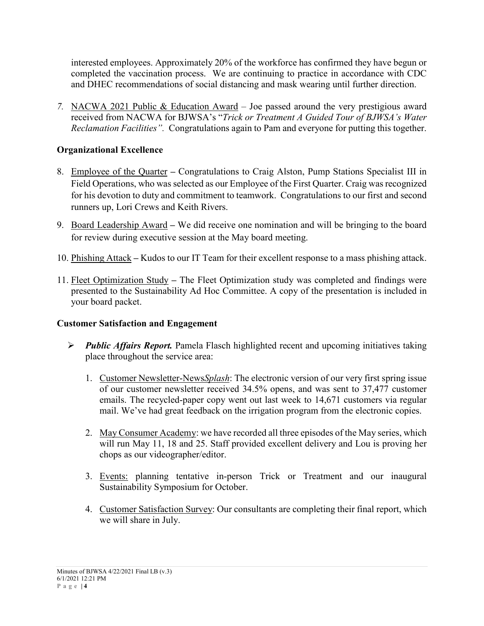interested employees. Approximately 20% of the workforce has confirmed they have begun or completed the vaccination process. We are continuing to practice in accordance with CDC and DHEC recommendations of social distancing and mask wearing until further direction.

*7.* NACWA 2021 Public & Education Award – Joe passed around the very prestigious award received from NACWA for BJWSA's "*Trick or Treatment A Guided Tour of BJWSA's Water Reclamation Facilities".* Congratulations again to Pam and everyone for putting this together.

# **Organizational Excellence**

- 8. Employee of the Quarter **–** Congratulations to Craig Alston, Pump Stations Specialist III in Field Operations, who was selected as our Employee of the First Quarter. Craig was recognized for his devotion to duty and commitment to teamwork. Congratulations to our first and second runners up, Lori Crews and Keith Rivers.
- 9. Board Leadership Award **–** We did receive one nomination and will be bringing to the board for review during executive session at the May board meeting.
- 10. Phishing Attack **–** Kudos to our IT Team for their excellent response to a mass phishing attack.
- 11. Fleet Optimization Study **–** The Fleet Optimization study was completed and findings were presented to the Sustainability Ad Hoc Committee. A copy of the presentation is included in your board packet.

# **Customer Satisfaction and Engagement**

- *Public Affairs Report.* Pamela Flasch highlighted recent and upcoming initiatives taking place throughout the service area:
	- 1. Customer Newsletter-News*Splash*: The electronic version of our very first spring issue of our customer newsletter received 34.5% opens, and was sent to 37,477 customer emails. The recycled-paper copy went out last week to 14,671 customers via regular mail. We've had great feedback on the irrigation program from the electronic copies.
	- 2. May Consumer Academy: we have recorded all three episodes of the May series, which will run May 11, 18 and 25. Staff provided excellent delivery and Lou is proving her chops as our videographer/editor.
	- 3. Events: planning tentative in-person Trick or Treatment and our inaugural Sustainability Symposium for October.
	- 4. Customer Satisfaction Survey: Our consultants are completing their final report, which we will share in July.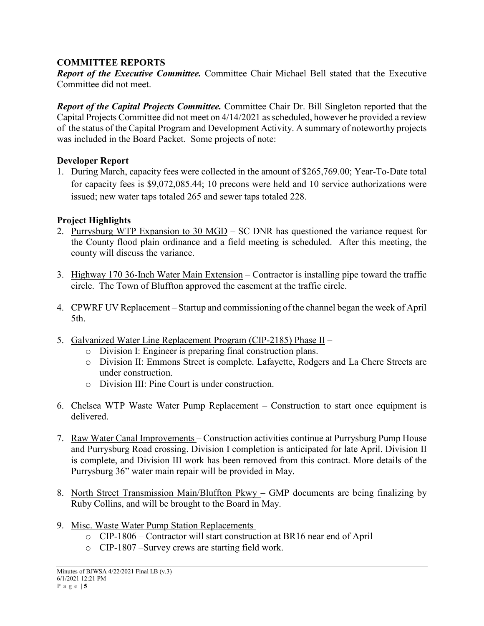### **COMMITTEE REPORTS**

*Report of the Executive Committee.* Committee Chair Michael Bell stated that the Executive Committee did not meet.

*Report of the Capital Projects Committee.* Committee Chair Dr. Bill Singleton reported that the Capital Projects Committee did not meet on 4/14/2021 as scheduled, however he provided a review of the status of the Capital Program and Development Activity. A summary of noteworthy projects was included in the Board Packet. Some projects of note:

### **Developer Report**

1. During March, capacity fees were collected in the amount of \$265,769.00; Year-To-Date total for capacity fees is \$9,072,085.44; 10 precons were held and 10 service authorizations were issued; new water taps totaled 265 and sewer taps totaled 228.

### **Project Highlights**

- 2. Purrysburg WTP Expansion to 30 MGD SC DNR has questioned the variance request for the County flood plain ordinance and a field meeting is scheduled. After this meeting, the county will discuss the variance.
- 3. Highway 170 36-Inch Water Main Extension Contractor is installing pipe toward the traffic circle. The Town of Bluffton approved the easement at the traffic circle.
- 4. CPWRF UV Replacement Startup and commissioning of the channel began the week of April 5th.
- 5. Galvanized Water Line Replacement Program (CIP-2185) Phase II
	- o Division I: Engineer is preparing final construction plans.
	- o Division II: Emmons Street is complete. Lafayette, Rodgers and La Chere Streets are under construction.
	- o Division III: Pine Court is under construction.
- 6. Chelsea WTP Waste Water Pump Replacement Construction to start once equipment is delivered.
- 7. Raw Water Canal Improvements Construction activities continue at Purrysburg Pump House and Purrysburg Road crossing. Division I completion is anticipated for late April. Division II is complete, and Division III work has been removed from this contract. More details of the Purrysburg 36" water main repair will be provided in May.
- 8. North Street Transmission Main/Bluffton Pkwy GMP documents are being finalizing by Ruby Collins, and will be brought to the Board in May.
- 9. Misc. Waste Water Pump Station Replacements
	- o CIP-1806 Contractor will start construction at BR16 near end of April
	- o CIP-1807 –Survey crews are starting field work.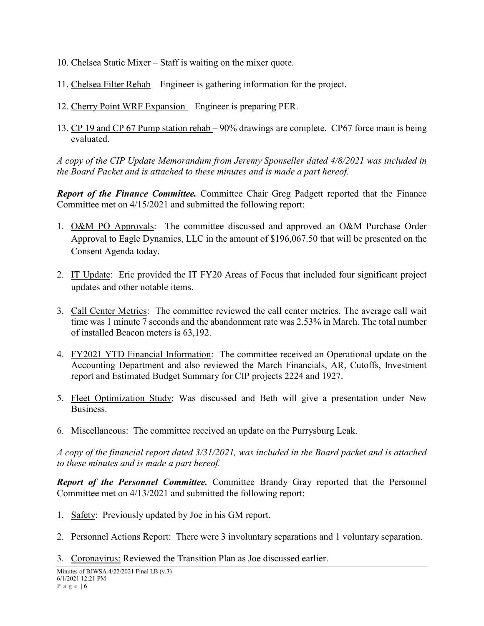- 10. Chelsea Static Mixer Staff is waiting on the mixer quote.
- 11. Chelsea Filter Rehab Engineer is gathering information for the project.
- 12. Cherry Point WRF Expansion Engineer is preparing PER.
- 13. CP 19 and CP 67 Pump station rehab 90% drawings are complete. CP67 force main is being evaluated.

*A copy of the CIP Update Memorandum from Jeremy Sponseller dated 4/8/2021 was included in the Board Packet and is attached to these minutes and is made a part hereof.*

*Report of the Finance Committee.* Committee Chair Greg Padgett reported that the Finance Committee met on 4/15/2021 and submitted the following report:

- 1. O&M PO Approvals: The committee discussed and approved an O&M Purchase Order Approval to Eagle Dynamics, LLC in the amount of \$196,067.50 that will be presented on the Consent Agenda today.
- 2. IT Update: Eric provided the IT FY20 Areas of Focus that included four significant project updates and other notable items.
- 3. Call Center Metrics: The committee reviewed the call center metrics. The average call wait time was 1 minute 7 seconds and the abandonment rate was 2.53% in March. The total number of installed Beacon meters is 63,192.
- 4. FY2021 YTD Financial Information: The committee received an Operational update on the Accounting Department and also reviewed the March Financials, AR, Cutoffs, Investment report and Estimated Budget Summary for CIP projects 2224 and 1927.
- 5. Fleet Optimization Study: Was discussed and Beth will give a presentation under New Business.
- 6. Miscellaneous: The committee received an update on the Purrysburg Leak.

*A copy of the financial report dated 3/31/2021, was included in the Board packet and is attached to these minutes and is made a part hereof.*

*Report of the Personnel Committee.* Committee Brandy Gray reported that the Personnel Committee met on 4/13/2021 and submitted the following report:

- 1. Safety: Previously updated by Joe in his GM report.
- 2. Personnel Actions Report: There were 3 involuntary separations and 1 voluntary separation.
- 3. Coronavirus: Reviewed the Transition Plan as Joe discussed earlier.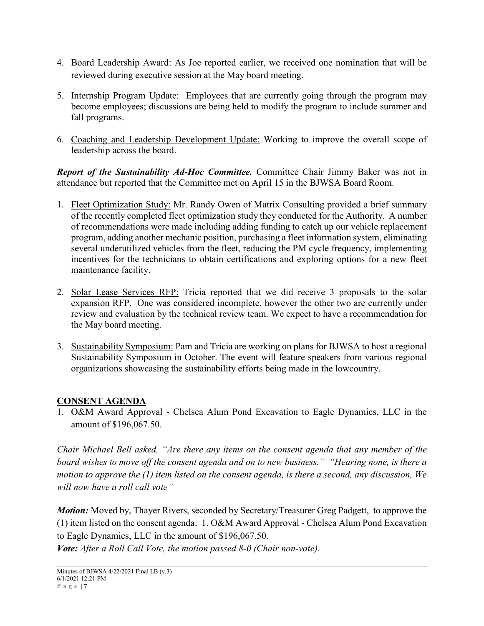- 4. Board Leadership Award: As Joe reported earlier, we received one nomination that will be reviewed during executive session at the May board meeting.
- 5. Internship Program Update: Employees that are currently going through the program may become employees; discussions are being held to modify the program to include summer and fall programs.
- 6. Coaching and Leadership Development Update: Working to improve the overall scope of leadership across the board.

*Report of the Sustainability Ad-Hoc Committee.* Committee Chair Jimmy Baker was not in attendance but reported that the Committee met on April 15 in the BJWSA Board Room.

- 1. Fleet Optimization Study: Mr. Randy Owen of Matrix Consulting provided a brief summary of the recently completed fleet optimization study they conducted for the Authority. A number of recommendations were made including adding funding to catch up our vehicle replacement program, adding another mechanic position, purchasing a fleet information system, eliminating several underutilized vehicles from the fleet, reducing the PM cycle frequency, implementing incentives for the technicians to obtain certifications and exploring options for a new fleet maintenance facility.
- 2. Solar Lease Services RFP: Tricia reported that we did receive 3 proposals to the solar expansion RFP. One was considered incomplete, however the other two are currently under review and evaluation by the technical review team. We expect to have a recommendation for the May board meeting.
- 3. Sustainability Symposium: Pam and Tricia are working on plans for BJWSA to host a regional Sustainability Symposium in October. The event will feature speakers from various regional organizations showcasing the sustainability efforts being made in the lowcountry.

# **CONSENT AGENDA**

1. O&M Award Approval - Chelsea Alum Pond Excavation to Eagle Dynamics, LLC in the amount of \$196,067.50.

*Chair Michael Bell asked, "Are there any items on the consent agenda that any member of the board wishes to move off the consent agenda and on to new business." "Hearing none, is there a motion to approve the (1) item listed on the consent agenda, is there a second, any discussion, We will now have a roll call vote"*

*Motion:* Moved by, Thayer Rivers, seconded by Secretary/Treasurer Greg Padgett, to approve the (1) item listed on the consent agenda: 1. O&M Award Approval - Chelsea Alum Pond Excavation to Eagle Dynamics, LLC in the amount of \$196,067.50.

*Vote: After a Roll Call Vote, the motion passed 8-0 (Chair non-vote).*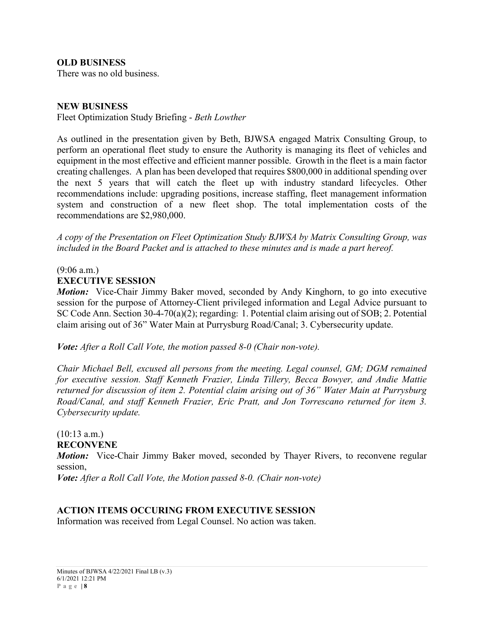**OLD BUSINESS**

There was no old business.

#### **NEW BUSINESS**

Fleet Optimization Study Briefing - *Beth Lowther*

As outlined in the presentation given by Beth, BJWSA engaged Matrix Consulting Group, to perform an operational fleet study to ensure the Authority is managing its fleet of vehicles and equipment in the most effective and efficient manner possible. Growth in the fleet is a main factor creating challenges. A plan has been developed that requires \$800,000 in additional spending over the next 5 years that will catch the fleet up with industry standard lifecycles. Other recommendations include: upgrading positions, increase staffing, fleet management information system and construction of a new fleet shop. The total implementation costs of the recommendations are \$2,980,000.

*A copy of the Presentation on Fleet Optimization Study BJWSA by Matrix Consulting Group, was included in the Board Packet and is attached to these minutes and is made a part hereof.*

### (9:06 a.m.)

#### **EXECUTIVE SESSION**

*Motion:* Vice-Chair Jimmy Baker moved, seconded by Andy Kinghorn, to go into executive session for the purpose of Attorney-Client privileged information and Legal Advice pursuant to SC Code Ann. Section 30-4-70(a)(2); regarding: 1. Potential claim arising out of SOB; 2. Potential claim arising out of 36" Water Main at Purrysburg Road/Canal; 3. Cybersecurity update.

*Vote: After a Roll Call Vote, the motion passed 8-0 (Chair non-vote).*

*Chair Michael Bell, excused all persons from the meeting. Legal counsel, GM; DGM remained for executive session. Staff Kenneth Frazier, Linda Tillery, Becca Bowyer, and Andie Mattie returned for discussion of item 2. Potential claim arising out of 36" Water Main at Purrysburg Road/Canal, and staff Kenneth Frazier, Eric Pratt, and Jon Torrescano returned for item 3. Cybersecurity update.*

(10:13 a.m.) **RECONVENE**

*Motion:* Vice-Chair Jimmy Baker moved, seconded by Thayer Rivers, to reconvene regular session,

*Vote: After a Roll Call Vote, the Motion passed 8-0. (Chair non-vote)*

### **ACTION ITEMS OCCURING FROM EXECUTIVE SESSION**

Information was received from Legal Counsel. No action was taken.